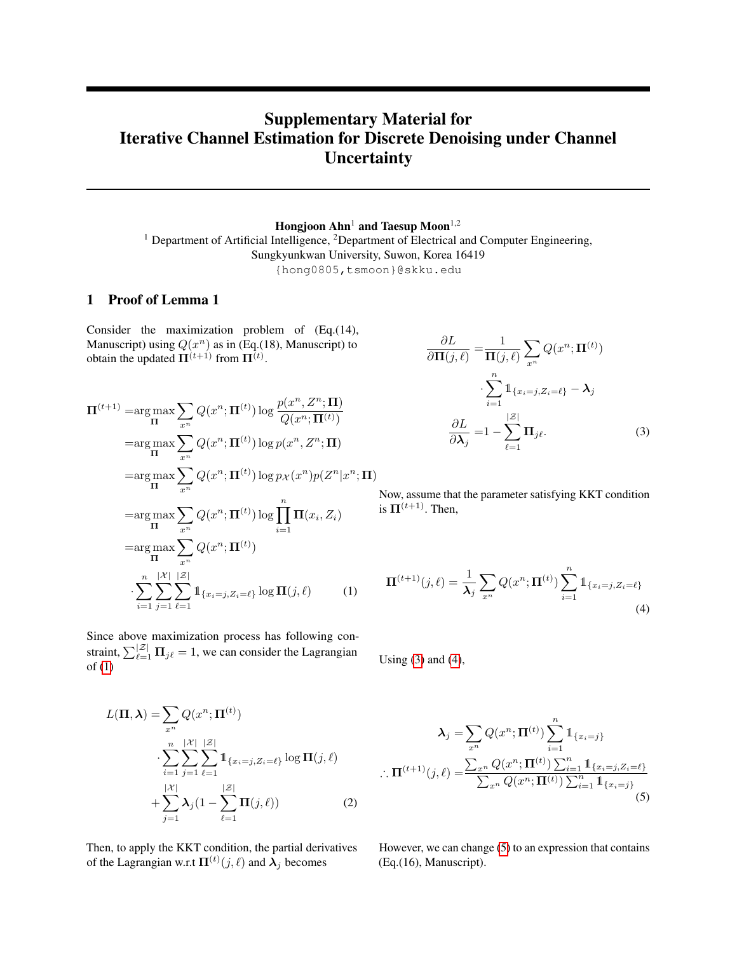# Supplementary Material for Iterative Channel Estimation for Discrete Denoising under Channel **Uncertainty**

Hongjoon  $Ahn<sup>1</sup>$  and Taesup Moon<sup>1,2</sup> <sup>1</sup> Department of Artificial Intelligence, <sup>2</sup>Department of Electrical and Computer Engineering, Sungkyunkwan University, Suwon, Korea 16419 {hong0805,tsmoon}@skku.edu

## 1 Proof of Lemma 1

Consider the maximization problem of (Eq.(14), Manuscript) using  $Q(x^n)$  as in (Eq.(18), Manuscript) to obtain the updated  $\Pi^{(t+1)}$  from  $\Pi^{(t)}$ .

$$
\Pi^{(t+1)} = \underset{\Pi}{\arg\max} \sum_{x^n} Q(x^n; \Pi^{(t)}) \log \frac{p(x^n, Z^n; \Pi)}{Q(x^n; \Pi^{(t)})}
$$
\n
$$
= \underset{\Pi}{\arg\max} \sum_{x^n} Q(x^n; \Pi^{(t)}) \log p(x^n, Z^n; \Pi)
$$
\n
$$
= \underset{\Pi}{\arg\max} \sum_{x^n} Q(x^n; \Pi^{(t)}) \log p_X(x^n) p(Z^n | x^n; \Pi)
$$
\n
$$
= \underset{\Pi}{\arg\max} \sum_{x^n} Q(x^n; \Pi^{(t)}) \log \prod_{i=1}^n \Pi(x_i, Z_i)
$$
\n
$$
= \underset{\Pi}{\arg\max} \sum_{x^n} Q(x^n; \Pi^{(t)})
$$
\n
$$
\cdot \sum_{i=1}^n \sum_{j=1}^{|X|} \sum_{\ell=1}^{|Z|} \mathbb{1}_{\{x_i = j, Z_i = \ell\}} \log \Pi(j, \ell) \tag{1}
$$

Since above maximization process has following constraint,  $\sum_{\ell=1}^{\lvert \mathcal{Z} \rvert} \mathbf{\Pi}_{j\ell} = 1$ , we can consider the Lagrangian  $of (1)$  $of (1)$ 

$$
L(\mathbf{\Pi}, \lambda) = \sum_{x^n} Q(x^n; \mathbf{\Pi}^{(t)})
$$

$$
\sum_{i=1}^n \sum_{j=1}^{|\mathcal{X}|} \sum_{\ell=1}^{|\mathcal{Z}|} \mathbb{1}_{\{x_i = j, Z_i = \ell\}} \log \mathbf{\Pi}(j, \ell)
$$

$$
+ \sum_{j=1}^{|\mathcal{X}|} \lambda_j (1 - \sum_{\ell=1}^{|\mathcal{Z}|} \mathbf{\Pi}(j, \ell)) \tag{2}
$$

Then, to apply the KKT condition, the partial derivatives of the Lagrangian w.r.t  $\Pi^{(t)}(j, \ell)$  and  $\lambda_j$  becomes

<span id="page-0-1"></span>
$$
\frac{\partial L}{\partial \Pi(j,\ell)} = \frac{1}{\Pi(j,\ell)} \sum_{x^n} Q(x^n; \Pi^{(t)})
$$

$$
\cdot \sum_{i=1}^n \mathbb{1}_{\{x_i = j, Z_i = \ell\}} - \lambda_j
$$

$$
\frac{\partial L}{\partial \lambda_j} = 1 - \sum_{\ell=1}^{|\mathcal{Z}|} \Pi_{j\ell}.
$$
(3)

Now, assume that the parameter satisfying KKT condition is  $\Pi^{(t+1)}$ . Then,

<span id="page-0-2"></span><span id="page-0-0"></span>
$$
\Pi^{(t+1)}(j,\ell) = \frac{1}{\lambda_j} \sum_{x^n} Q(x^n; \Pi^{(t)}) \sum_{i=1}^n \mathbb{1}_{\{x_i = j, Z_i = \ell\}}
$$
(4)

Using  $(3)$  and  $(4)$ ,

<span id="page-0-3"></span>
$$
\lambda_j = \sum_{x^n} Q(x^n; \Pi^{(t)}) \sum_{i=1}^n \mathbb{1}_{\{x_i = j\}}
$$

$$
\therefore \Pi^{(t+1)}(j, \ell) = \frac{\sum_{x^n} Q(x^n; \Pi^{(t)}) \sum_{i=1}^n \mathbb{1}_{\{x_i = j, Z_i = \ell\}}}{\sum_{x^n} Q(x^n; \Pi^{(t)}) \sum_{i=1}^n \mathbb{1}_{\{x_i = j\}}}
$$
(5)

However, we can change [\(5\)](#page-0-3) to an expression that contains (Eq.(16), Manuscript).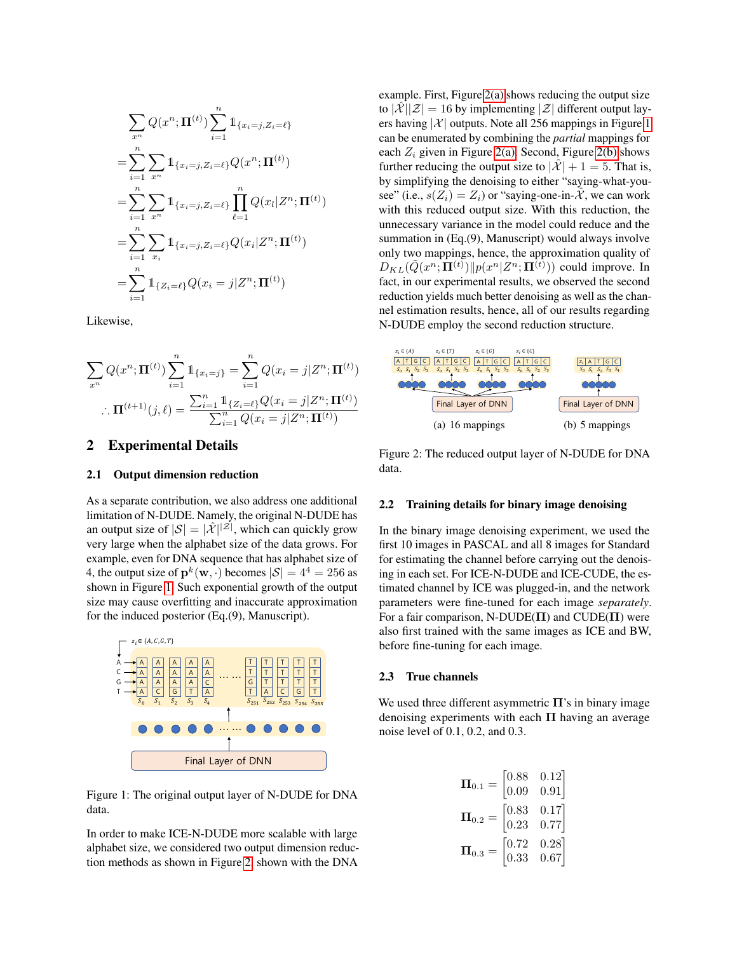$$
\sum_{x^n} Q(x^n; \Pi^{(t)}) \sum_{i=1}^n \mathbb{1}_{\{x_i = j, Z_i = \ell\}}
$$
  
\n
$$
= \sum_{i=1}^n \sum_{x^n} \mathbb{1}_{\{x_i = j, Z_i = \ell\}} Q(x^n; \Pi^{(t)})
$$
  
\n
$$
= \sum_{i=1}^n \sum_{x^n} \mathbb{1}_{\{x_i = j, Z_i = \ell\}} \prod_{\ell=1}^n Q(x_\ell | Z^n; \Pi^{(t)})
$$
  
\n
$$
= \sum_{i=1}^n \sum_{x_i} \mathbb{1}_{\{x_i = j, Z_i = \ell\}} Q(x_i | Z^n; \Pi^{(t)})
$$
  
\n
$$
= \sum_{i=1}^n \mathbb{1}_{\{Z_i = \ell\}} Q(x_i = j | Z^n; \Pi^{(t)})
$$

Likewise,

$$
\sum_{x^n} Q(x^n; \Pi^{(t)}) \sum_{i=1}^n \mathbb{1}_{\{x_i = j\}} = \sum_{i=1}^n Q(x_i = j | Z^n; \Pi^{(t)})
$$

$$
\therefore \Pi^{(t+1)}(j, \ell) = \frac{\sum_{i=1}^n \mathbb{1}_{\{Z_i = \ell\}} Q(x_i = j | Z^n; \Pi^{(t)})}{\sum_{i=1}^n Q(x_i = j | Z^n; \Pi^{(t)})}
$$

## 2 Experimental Details

#### 2.1 Output dimension reduction

As a separate contribution, we also address one additional limitation of N-DUDE. Namely, the original N-DUDE has an output size of  $|\mathcal{S}| = |\mathcal{\hat{X}}|^{|\mathcal{Z}|}$ , which can quickly grow very large when the alphabet size of the data grows. For example, even for DNA sequence that has alphabet size of 4, the output size of  $\mathbf{p}^k(\mathbf{w},\cdot)$  becomes  $|\mathcal{S}| = 4^4 = 256$  as shown in Figure [1.](#page-1-0) Such exponential growth of the output size may cause overfitting and inaccurate approximation for the induced posterior (Eq.(9), Manuscript).



Figure 1: The original output layer of N-DUDE for DNA data.

In order to make ICE-N-DUDE more scalable with large alphabet size, we considered two output dimension reduction methods as shown in Figure [2,](#page-1-1) shown with the DNA example. First, Figure [2\(a\)](#page-1-2) shows reducing the output size to  $|\mathcal{X}||\mathcal{Z}| = 16$  by implementing  $|\mathcal{Z}|$  different output layers having  $|\mathcal{X}|$  outputs. Note all 256 mappings in Figure [1](#page-1-0) can be enumerated by combining the *partial* mappings for each  $Z_i$  given in Figure [2\(a\).](#page-1-2) Second, Figure [2\(b\)](#page-1-3) shows further reducing the output size to  $|\mathcal{X}| + 1 = 5$ . That is, by simplifying the denoising to either "saying-what-yousee" (i.e.,  $s(Z_i) = Z_i$ ) or "saying-one-in- $\mathcal{X}$ , we can work with this reduced output size. With this reduction, the unnecessary variance in the model could reduce and the summation in (Eq.(9), Manuscript) would always involve only two mappings, hence, the approximation quality of  $D_{KL}(\tilde{Q}(x^n; \Pi^{(t)}) || p(x^n | Z^n; \Pi^{(t)}))$  could improve. In fact, in our experimental results, we observed the second reduction yields much better denoising as well as the channel estimation results, hence, all of our results regarding N-DUDE employ the second reduction structure.

<span id="page-1-2"></span>

<span id="page-1-3"></span><span id="page-1-1"></span>Figure 2: The reduced output layer of N-DUDE for DNA data.

### 2.2 Training details for binary image denoising

In the binary image denoising experiment, we used the first 10 images in PASCAL and all 8 images for Standard for estimating the channel before carrying out the denoising in each set. For ICE-N-DUDE and ICE-CUDE, the estimated channel by ICE was plugged-in, and the network parameters were fine-tuned for each image *separately*. For a fair comparison, N-DUDE( $\Pi$ ) and CUDE( $\Pi$ ) were also first trained with the same images as ICE and BW, before fine-tuning for each image.

#### 2.3 True channels

<span id="page-1-0"></span>We used three different asymmetric  $\Pi$ 's in binary image denoising experiments with each  $\Pi$  having an average noise level of 0.1, 0.2, and 0.3.

$$
\mathbf{\Pi}_{0.1} = \begin{bmatrix} 0.88 & 0.12 \\ 0.09 & 0.91 \end{bmatrix}
$$

$$
\mathbf{\Pi}_{0.2} = \begin{bmatrix} 0.83 & 0.17 \\ 0.23 & 0.77 \end{bmatrix}
$$

$$
\mathbf{\Pi}_{0.3} = \begin{bmatrix} 0.72 & 0.28 \\ 0.33 & 0.67 \end{bmatrix}
$$